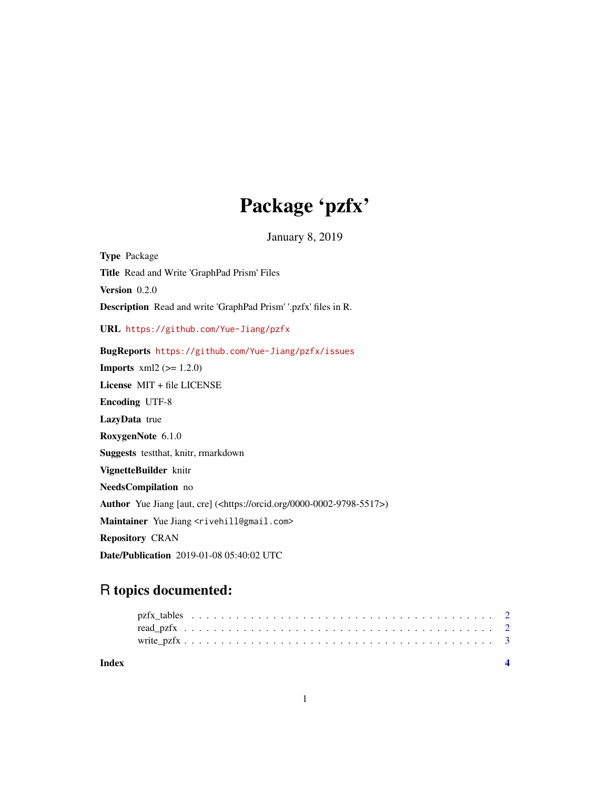## Package 'pzfx'

January 8, 2019

Type Package Title Read and Write 'GraphPad Prism' Files Version 0.2.0 Description Read and write 'GraphPad Prism' '.pzfx' files in R. URL <https://github.com/Yue-Jiang/pzfx> BugReports <https://github.com/Yue-Jiang/pzfx/issues> **Imports**  $xml2 (= 1.2.0)$ License MIT + file LICENSE Encoding UTF-8 LazyData true RoxygenNote 6.1.0 Suggests testthat, knitr, rmarkdown VignetteBuilder knitr NeedsCompilation no Author Yue Jiang [aut, cre] (<https://orcid.org/0000-0002-9798-5517>) Maintainer Yue Jiang <rivehill@gmail.com> Repository CRAN Date/Publication 2019-01-08 05:40:02 UTC

### R topics documented: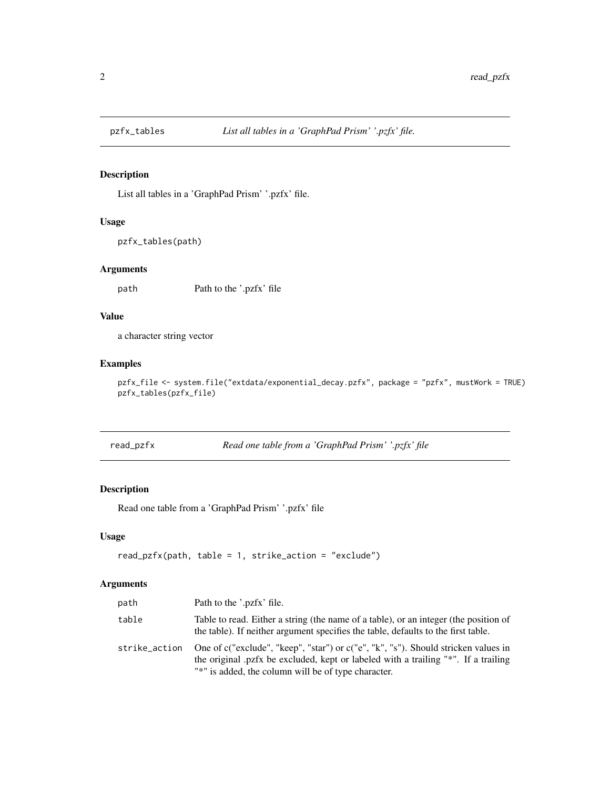<span id="page-1-0"></span>

#### Description

List all tables in a 'GraphPad Prism' '.pzfx' file.

#### Usage

```
pzfx_tables(path)
```
#### Arguments

path Path to the '.pzfx' file

#### Value

a character string vector

#### Examples

pzfx\_file <- system.file("extdata/exponential\_decay.pzfx", package = "pzfx", mustWork = TRUE) pzfx\_tables(pzfx\_file)

| read_pzfx |  |
|-----------|--|
|           |  |

Read one table from a 'GraphPad Prism' '.pzfx' file

#### Description

Read one table from a 'GraphPad Prism' '.pzfx' file

#### Usage

```
read_pzfx(path, table = 1, strike_action = "exclude")
```
#### Arguments

| path          | Path to the '.pzfx' file.                                                                                                                                                                                                      |
|---------------|--------------------------------------------------------------------------------------------------------------------------------------------------------------------------------------------------------------------------------|
| table         | Table to read. Either a string (the name of a table), or an integer (the position of<br>the table). If neither argument specifies the table, defaults to the first table.                                                      |
| strike_action | One of c("exclude", "keep", "star") or c("e", "k", "s"). Should stricken values in<br>the original pzfx be excluded, kept or labeled with a trailing "*". If a trailing<br>"*" is added, the column will be of type character. |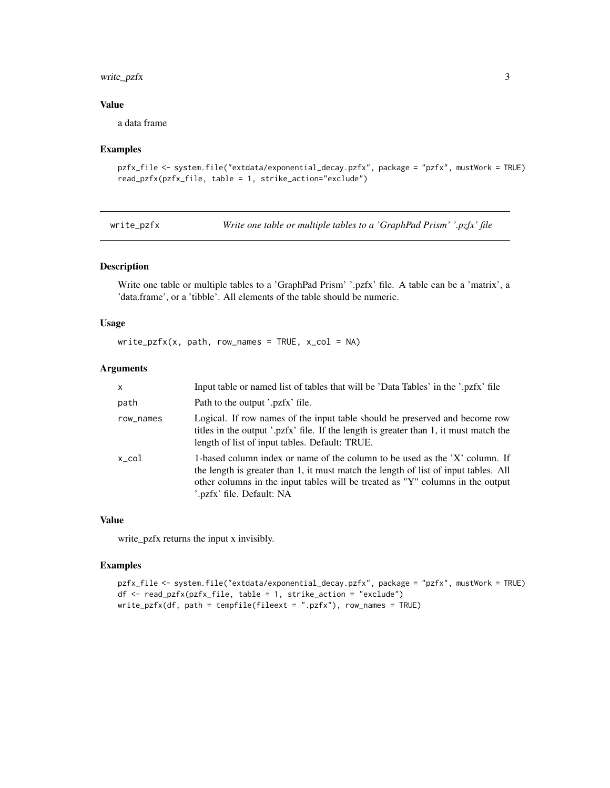#### <span id="page-2-0"></span>write\_pzfx 3

#### Value

a data frame

#### Examples

```
pzfx_file <- system.file("extdata/exponential_decay.pzfx", package = "pzfx", mustWork = TRUE)
read_pzfx(pzfx_file, table = 1, strike_action="exclude")
```
write\_pzfx *Write one table or multiple tables to a 'GraphPad Prism' '.pzfx' file*

#### Description

Write one table or multiple tables to a 'GraphPad Prism' '.pzfx' file. A table can be a 'matrix', a 'data.frame', or a 'tibble'. All elements of the table should be numeric.

#### Usage

 $write\_pfx(x, path, row\_names = TRUE, x\_col = NA)$ 

#### Arguments

| X               | Input table or named list of tables that will be 'Data Tables' in the '.pzfx' file                                                                                                                                                                                               |
|-----------------|----------------------------------------------------------------------------------------------------------------------------------------------------------------------------------------------------------------------------------------------------------------------------------|
| path            | Path to the output '.pzfx' file.                                                                                                                                                                                                                                                 |
| row_names       | Logical. If row names of the input table should be preserved and become row<br>titles in the output '.pzfx' file. If the length is greater than 1, it must match the<br>length of list of input tables. Default: TRUE.                                                           |
| $x_{\rm c}$ col | 1-based column index or name of the column to be used as the 'X' column. If<br>the length is greater than 1, it must match the length of list of input tables. All<br>other columns in the input tables will be treated as "Y" columns in the output<br>pzfx' file. Default: NA. |

#### Value

write\_pzfx returns the input x invisibly.

#### Examples

```
pzfx_file <- system.file("extdata/exponential_decay.pzfx", package = "pzfx", mustWork = TRUE)
df <- read_pzfx(pzfx_file, table = 1, strike_action = "exclude")
write_pzfx(df, path = tempfile(fileext = ".pzfx"), row_names = TRUE)
```